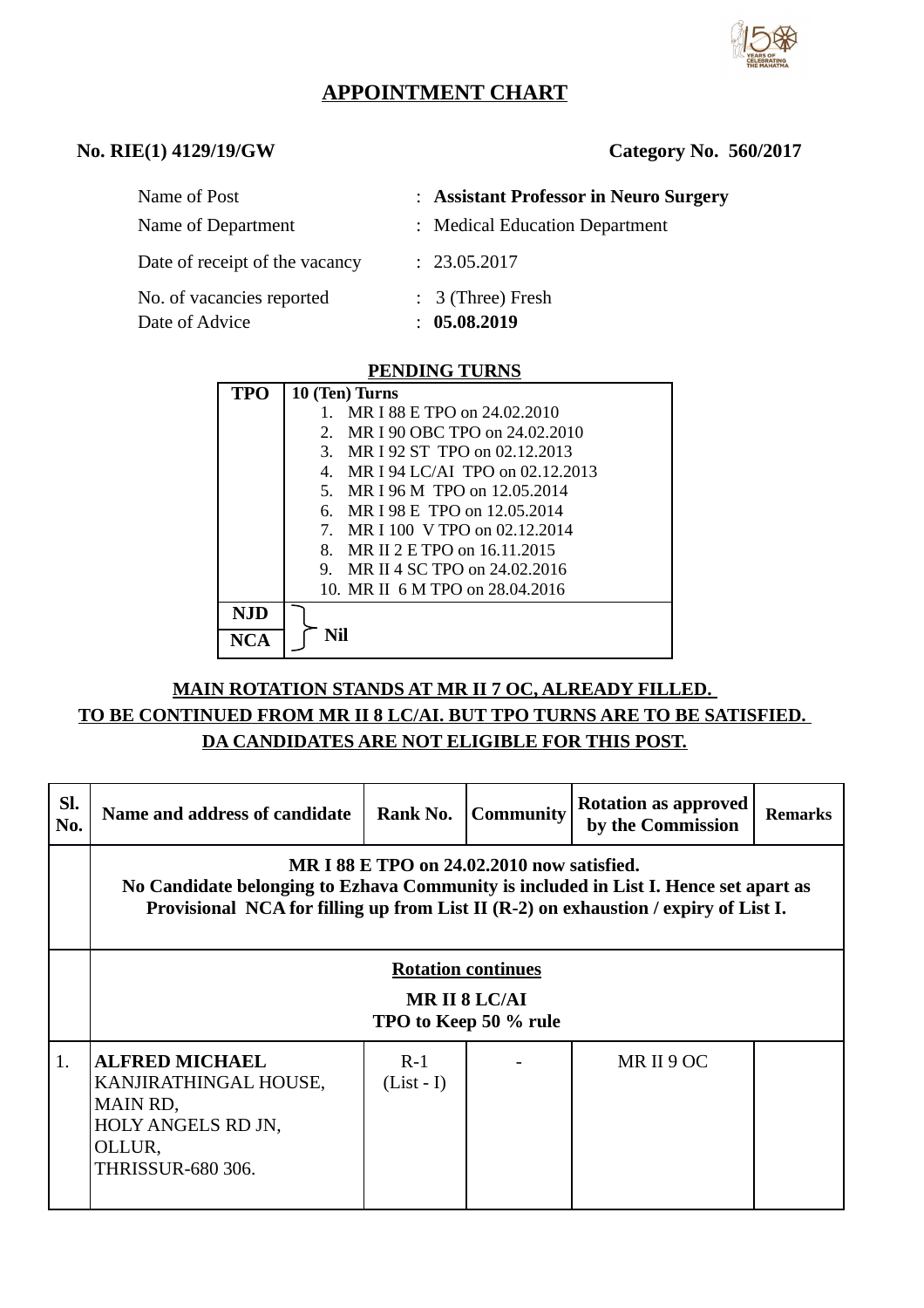

# **APPOINTMENT CHART**

#### **No. RIE(1) 4129/19/GW Category No. 560/2017**

| Name of Post                   | : Assistant Professor in Neuro Surgery |
|--------------------------------|----------------------------------------|
| Name of Department             | : Medical Education Department         |
| Date of receipt of the vacancy | : 23.05.2017                           |
| No. of vacancies reported      | $: 3$ (Three) Fresh                    |
| Date of Advice                 | : 05.08.2019                           |

#### **PENDING TURNS**

| <b>TPO</b> | 10 (Ten) Turns                                 |  |  |  |
|------------|------------------------------------------------|--|--|--|
|            | MR I 88 E TPO on 24,02,2010                    |  |  |  |
|            | MR I 90 OBC TPO on 24.02.2010<br>2.            |  |  |  |
|            | 3. MR I 92 ST TPO on 02.12.2013                |  |  |  |
|            | MR I 94 LC/AI TPO on 02.12.2013<br>4.          |  |  |  |
|            | 5. MR I 96 M TPO on 12.05.2014                 |  |  |  |
|            | MR I 98 E TPO on 12.05.2014<br>6.              |  |  |  |
|            | MR I 100 V TPO on 02.12.2014<br>7 <sup>1</sup> |  |  |  |
|            | MR II 2 E TPO on 16.11.2015<br>8.              |  |  |  |
|            | 9. MR II 4 SC TPO on 24.02.2016                |  |  |  |
|            | 10. MR II 6 M TPO on 28.04.2016                |  |  |  |
| <b>NJD</b> |                                                |  |  |  |
| NCA        | Nil                                            |  |  |  |

## **MAIN ROTATION STANDS AT MR II 7 OC, ALREADY FILLED. TO BE CONTINUED FROM MR II 8 LC/AI. BUT TPO TURNS ARE TO BE SATISFIED. DA CANDIDATES ARE NOT ELIGIBLE FOR THIS POST.**

| Sl.<br>No. | Name and address of candidate                                                                                                                                                                                             | Rank No.              | <b>Community</b> | <b>Rotation as approved</b><br>by the Commission | <b>Remarks</b> |  |  |  |
|------------|---------------------------------------------------------------------------------------------------------------------------------------------------------------------------------------------------------------------------|-----------------------|------------------|--------------------------------------------------|----------------|--|--|--|
|            | MR I 88 E TPO on 24.02.2010 now satisfied.<br>No Candidate belonging to Ezhava Community is included in List I. Hence set apart as<br>Provisional NCA for filling up from List II (R-2) on exhaustion / expiry of List I. |                       |                  |                                                  |                |  |  |  |
|            | <b>Rotation continues</b><br><b>MRII 8 LC/AI</b><br>TPO to Keep 50 % rule                                                                                                                                                 |                       |                  |                                                  |                |  |  |  |
| 1.         | <b>ALFRED MICHAEL</b><br>KANJIRATHINGAL HOUSE,<br>MAIN RD,<br>HOLY ANGELS RD JN,<br>OLLUR,<br><b>THRISSUR-680 306.</b>                                                                                                    | $R-1$<br>$(List - I)$ |                  | MRI19OC                                          |                |  |  |  |